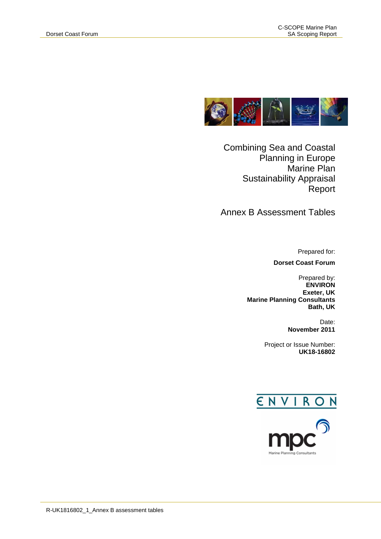

Combining Sea and Coastal Planning in Europe Marine Plan Sustainability Appraisal Report

Annex B Assessment Tables

Prepared for:

**Dorset Coast Forum**

Prepared by: **ENVIRON Exeter, UK Marine Planning Consultants Bath, UK**

> Date: **November 2011**

Project or Issue Number:  **UK18-16802**



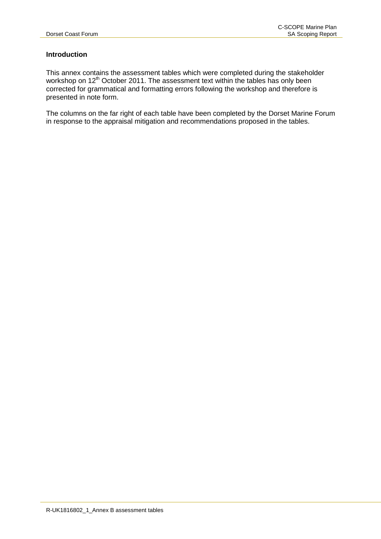## **Introduction**

This annex contains the assessment tables which were completed during the stakeholder workshop on 12<sup>th</sup> October 2011. The assessment text within the tables has only been corrected for grammatical and formatting errors following the workshop and therefore is presented in note form.

The columns on the far right of each table have been completed by the Dorset Marine Forum in response to the appraisal mitigation and recommendations proposed in the tables.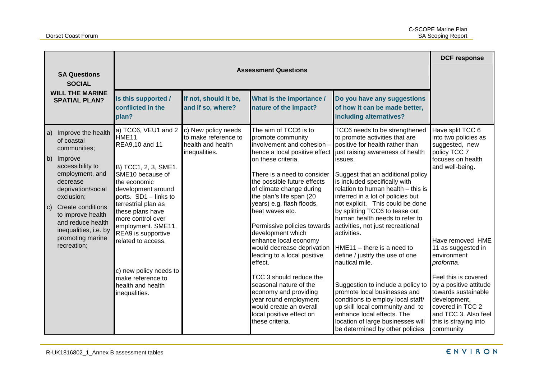| <b>SA Questions</b><br><b>SOCIAL</b>                                                                                                                                                                                                                                                               |                                                                                                                                                                                                                                                                                                                                                                                              | <b>Assessment Questions</b>                                                       |                                                                                                                                                                                                                                                                                                                                                                                                                                                                                                                                                                                                            |                                                                                                                                                                                                                                                                                                                                                                                                                                                                                                                                                                                                                                                                                                                                                                                                                                      |                                                                                                                                                                                                                                                                                                                                                                     |  |
|----------------------------------------------------------------------------------------------------------------------------------------------------------------------------------------------------------------------------------------------------------------------------------------------------|----------------------------------------------------------------------------------------------------------------------------------------------------------------------------------------------------------------------------------------------------------------------------------------------------------------------------------------------------------------------------------------------|-----------------------------------------------------------------------------------|------------------------------------------------------------------------------------------------------------------------------------------------------------------------------------------------------------------------------------------------------------------------------------------------------------------------------------------------------------------------------------------------------------------------------------------------------------------------------------------------------------------------------------------------------------------------------------------------------------|--------------------------------------------------------------------------------------------------------------------------------------------------------------------------------------------------------------------------------------------------------------------------------------------------------------------------------------------------------------------------------------------------------------------------------------------------------------------------------------------------------------------------------------------------------------------------------------------------------------------------------------------------------------------------------------------------------------------------------------------------------------------------------------------------------------------------------------|---------------------------------------------------------------------------------------------------------------------------------------------------------------------------------------------------------------------------------------------------------------------------------------------------------------------------------------------------------------------|--|
| <b>WILL THE MARINE</b><br><b>SPATIAL PLAN?</b>                                                                                                                                                                                                                                                     | Is this supported /<br>conflicted in the<br>plan?                                                                                                                                                                                                                                                                                                                                            | If not, should it be,<br>and if so, where?                                        | What is the importance /<br>nature of the impact?                                                                                                                                                                                                                                                                                                                                                                                                                                                                                                                                                          | Do you have any suggestions<br>of how it can be made better,<br>including alternatives?                                                                                                                                                                                                                                                                                                                                                                                                                                                                                                                                                                                                                                                                                                                                              |                                                                                                                                                                                                                                                                                                                                                                     |  |
| Improve the health<br>$ a\rangle$<br>of coastal<br>communities;<br>b) Improve<br>accessibility to<br>employment, and<br>decrease<br>deprivation/social<br>exclusion;<br>c) Create conditions<br>to improve health<br>and reduce health<br>inequalities, i.e. by<br>promoting marine<br>recreation; | a) TCC6, VEU1 and 2<br>HME <sub>11</sub><br>REA9,10 and 11<br>B) TCC1, 2, 3, SME1.<br>SME10 because of<br>the economic<br>development around<br>ports. SD1 - links to<br>terrestrial plan as<br>these plans have<br>more control over<br>employment. SME11.<br>REA9 is supportive<br>related to access.<br>c) new policy needs to<br>make reference to<br>health and health<br>inequalities. | c) New policy needs<br>to make reference to<br>health and health<br>inequalities. | The aim of TCC6 is to<br>promote community<br>involvement and cohesion -<br>on these criteria.<br>There is a need to consider<br>the possible future effects<br>of climate change during<br>the plan's life span (20<br>years) e.g. flash floods,<br>heat waves etc.<br>Permissive policies towards<br>development which<br>enhance local economy<br>would decrease deprivation<br>leading to a local positive<br>effect.<br>TCC 3 should reduce the<br>seasonal nature of the<br>economy and providing<br>year round employment<br>would create an overall<br>local positive effect on<br>these criteria. | TCC6 needs to be strengthened<br>to promote activities that are<br>positive for health rather than<br>hence a local positive effect just raising awareness of health<br>issues.<br>Suggest that an additional policy<br>is included specifically with<br>relation to human health - this is<br>inferred in a lot of policies but<br>not explicit. This could be done<br>by splitting TCC6 to tease out<br>human health needs to refer to<br>activities, not just recreational<br>activities.<br>$HME11 -$ there is a need to<br>define / justify the use of one<br>nautical mile.<br>Suggestion to include a policy to<br>promote local businesses and<br>conditions to employ local staff/<br>up skill local community and to<br>enhance local effects. The<br>location of large businesses will<br>be determined by other policies | Have split TCC 6<br>into two policies as<br>suggested, new<br>policy TCC 7<br>focuses on health<br>and well-being.<br>Have removed HME<br>11 as suggested in<br>environment<br>proforma.<br>Feel this is covered<br>by a positive attitude<br>towards sustainable<br>development,<br>covered in TCC 2<br>and TCC 3. Also feel<br>this is straying into<br>community |  |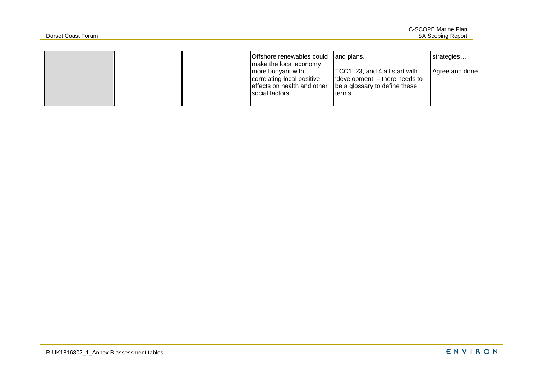|  | Offshore renewables could and plans.<br>make the local economy<br>more buoyant with<br>correlating local positive<br>effects on health and other | TCC1, 23, and 4 all start with<br>'development' – there needs to<br>be a glossary to define these | strategies<br>Agree and done. |
|--|--------------------------------------------------------------------------------------------------------------------------------------------------|---------------------------------------------------------------------------------------------------|-------------------------------|
|  | social factors.                                                                                                                                  | terms.                                                                                            |                               |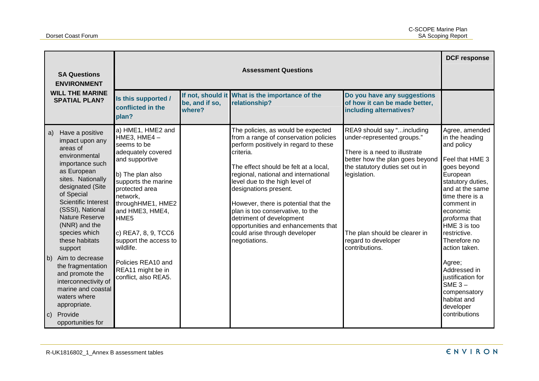| <b>SA Questions</b><br><b>ENVIRONMENT</b><br><b>WILL THE MARINE</b><br><b>SPATIAL PLAN?</b> |                                                                                                                                                                                                                                                                                                                                                                                                                                          | <b>Assessment Questions</b>                                                                                                                                                                                                                                                                                                                         |                          |                                                                                                                                                                                                                                                                                                                                                                                                                                                                                |                                                                                                                                                                                                                                                           |                                                                                                                                                                                                                                                                                                                                                                                             |
|---------------------------------------------------------------------------------------------|------------------------------------------------------------------------------------------------------------------------------------------------------------------------------------------------------------------------------------------------------------------------------------------------------------------------------------------------------------------------------------------------------------------------------------------|-----------------------------------------------------------------------------------------------------------------------------------------------------------------------------------------------------------------------------------------------------------------------------------------------------------------------------------------------------|--------------------------|--------------------------------------------------------------------------------------------------------------------------------------------------------------------------------------------------------------------------------------------------------------------------------------------------------------------------------------------------------------------------------------------------------------------------------------------------------------------------------|-----------------------------------------------------------------------------------------------------------------------------------------------------------------------------------------------------------------------------------------------------------|---------------------------------------------------------------------------------------------------------------------------------------------------------------------------------------------------------------------------------------------------------------------------------------------------------------------------------------------------------------------------------------------|
|                                                                                             |                                                                                                                                                                                                                                                                                                                                                                                                                                          | Is this supported /<br>conflicted in the<br>plan?                                                                                                                                                                                                                                                                                                   | be, and if so,<br>where? | If not, should it What is the importance of the<br>relationship?                                                                                                                                                                                                                                                                                                                                                                                                               | Do you have any suggestions<br>of how it can be made better,<br>including alternatives?                                                                                                                                                                   |                                                                                                                                                                                                                                                                                                                                                                                             |
| a)<br>$\mathsf{b}$                                                                          | Have a positive<br>impact upon any<br>areas of<br>environmental<br>importance such<br>as European<br>sites. Nationally<br>designated (Site<br>of Special<br>Scientific Interest<br>(SSSI), National<br>Nature Reserve<br>(NNR) and the<br>species which<br>these habitats<br>support<br>Aim to decrease<br>the fragmentation<br>and promote the<br>interconnectivity of<br>marine and coastal<br>waters where<br>appropriate.<br>Provide | a) HME1, HME2 and<br>HME3, HME4 $-$<br>seems to be<br>adequately covered<br>and supportive<br>b) The plan also<br>supports the marine<br>protected area<br>network,<br>throughHME1, HME2<br>and HME3, HME4,<br>HME5<br>c) REA7, 8, 9, TCC6<br>support the access to<br>wildlife.<br>Policies REA10 and<br>REA11 might be in<br>conflict, also REA5. |                          | The policies, as would be expected<br>from a range of conservation policies<br>perform positively in regard to these<br>criteria.<br>The effect should be felt at a local,<br>regional, national and international<br>level due to the high level of<br>designations present.<br>However, there is potential that the<br>plan is too conservative, to the<br>detriment of development<br>opportunities and enhancements that<br>could arise through developer<br>negotiations. | REA9 should say "including<br>under-represented groups."<br>There is a need to illustrate<br>better how the plan goes beyond<br>the statutory duties set out in<br>legislation.<br>The plan should be clearer in<br>regard to developer<br>contributions. | Agree, amended<br>in the heading<br>and policy<br>Feel that HME 3<br>goes beyond<br>European<br>statutory duties,<br>and at the same<br>time there is a<br>comment in<br>economic<br>proforma that<br>HME 3 is too<br>restrictive.<br>Therefore no<br>action taken.<br>Agree;<br>Addressed in<br>justification for<br>SME $3-$<br>compensatory<br>habitat and<br>developer<br>contributions |
| c)                                                                                          | opportunities for                                                                                                                                                                                                                                                                                                                                                                                                                        |                                                                                                                                                                                                                                                                                                                                                     |                          |                                                                                                                                                                                                                                                                                                                                                                                                                                                                                |                                                                                                                                                                                                                                                           |                                                                                                                                                                                                                                                                                                                                                                                             |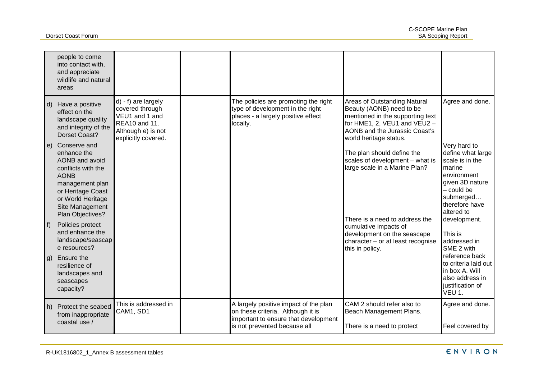|                      | people to come<br>into contact with,<br>and appreciate<br>wildlife and natural<br>areas                                                                                |                                                                                                                        |                                                                                                                                                    |                                                                                                                                                                                         |                                                                                                                                             |
|----------------------|------------------------------------------------------------------------------------------------------------------------------------------------------------------------|------------------------------------------------------------------------------------------------------------------------|----------------------------------------------------------------------------------------------------------------------------------------------------|-----------------------------------------------------------------------------------------------------------------------------------------------------------------------------------------|---------------------------------------------------------------------------------------------------------------------------------------------|
| $\mathsf{d}$<br>l e) | Have a positive<br>effect on the<br>landscape quality<br>and integrity of the<br>Dorset Coast?<br>Conserve and                                                         | d) - f) are largely<br>covered through<br>VEU1 and 1 and<br>REA10 and 11.<br>Although e) is not<br>explicitly covered. | The policies are promoting the right<br>type of development in the right<br>places - a largely positive effect<br>locally.                         | Areas of Outstanding Natural<br>Beauty (AONB) need to be<br>mentioned in the supporting text<br>for HME1, 2, VEU1 and VEU2 -<br>AONB and the Jurassic Coast's<br>world heritage status. | Agree and done.<br>Very hard to                                                                                                             |
|                      | enhance the<br>AONB and avoid<br>conflicts with the<br><b>AONB</b><br>management plan<br>or Heritage Coast<br>or World Heritage<br>Site Management<br>Plan Objectives? |                                                                                                                        |                                                                                                                                                    | The plan should define the<br>scales of development - what is<br>large scale in a Marine Plan?<br>There is a need to address the                                                        | define what large<br>scale is in the<br>marine<br>environment<br>given 3D nature<br>- could be<br>submerged<br>therefore have<br>altered to |
| f                    | Policies protect<br>and enhance the<br>landscape/seascap<br>e resources?                                                                                               |                                                                                                                        |                                                                                                                                                    | cumulative impacts of<br>development on the seascape<br>character $-$ or at least recognise<br>this in policy.                                                                          | development.<br>This is<br>addressed in<br>SME 2 with                                                                                       |
| $ g\rangle$          | Ensure the<br>resilience of<br>landscapes and<br>seascapes<br>capacity?                                                                                                |                                                                                                                        |                                                                                                                                                    |                                                                                                                                                                                         | reference back<br>to criteria laid out<br>in box A. Will<br>also address in<br>justification of<br>VEU 1.                                   |
| h)                   | Protect the seabed<br>from inappropriate<br>coastal use /                                                                                                              | This is addressed in<br>CAM1, SD1                                                                                      | A largely positive impact of the plan<br>on these criteria. Although it is<br>important to ensure that development<br>is not prevented because all | CAM 2 should refer also to<br>Beach Management Plans.<br>There is a need to protect                                                                                                     | Agree and done.<br>Feel covered by                                                                                                          |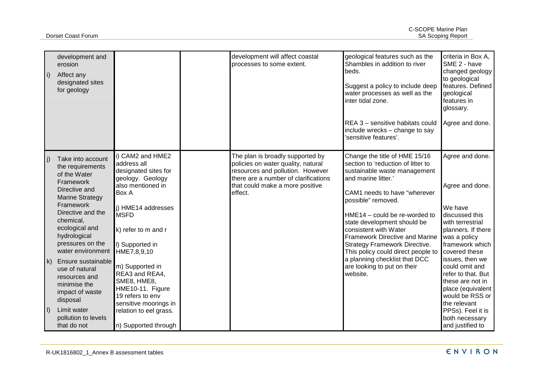| i)                      | development and<br>erosion<br>Affect any<br>designated sites<br>for geology                                                                                                                                                             |                                                                                                                                                                                                                | development will affect coastal<br>processes to some extent.                                                                                                                                     | geological features such as the<br>Shambles in addition to river<br>beds.<br>Suggest a policy to include deep<br>water processes as well as the<br>inter tidal zone.                                                                                                                                                                                                                      | criteria in Box A,<br>SME 2 - have<br>changed geology<br>to geological<br>features. Defined<br>geological<br>features in<br>glossary.                                                          |
|-------------------------|-----------------------------------------------------------------------------------------------------------------------------------------------------------------------------------------------------------------------------------------|----------------------------------------------------------------------------------------------------------------------------------------------------------------------------------------------------------------|--------------------------------------------------------------------------------------------------------------------------------------------------------------------------------------------------|-------------------------------------------------------------------------------------------------------------------------------------------------------------------------------------------------------------------------------------------------------------------------------------------------------------------------------------------------------------------------------------------|------------------------------------------------------------------------------------------------------------------------------------------------------------------------------------------------|
|                         |                                                                                                                                                                                                                                         |                                                                                                                                                                                                                |                                                                                                                                                                                                  | REA 3 - sensitive habitats could<br>include wrecks - change to say<br>'sensitive features'.                                                                                                                                                                                                                                                                                               | Agree and done.                                                                                                                                                                                |
| j)                      | Take into account<br>the requirements<br>of the Water<br>Framework<br>Directive and<br><b>Marine Strategy</b><br>Framework<br>Directive and the<br>chemical,<br>ecological and<br>hydrological<br>pressures on the<br>water environment | i) CAM2 and HME2<br>address all<br>designated sites for<br>geology. Geology<br>also mentioned in<br><b>Box A</b><br>i) HME14 addresses<br><b>MSFD</b><br>k) refer to m and r<br>I) Supported in<br>HME7,8,9,10 | The plan is broadly supported by<br>policies on water quality, natural<br>resources and pollution. However<br>there are a number of clarifications<br>that could make a more positive<br>effect. | Change the title of HME 15/16<br>section to 'reduction of litter to<br>sustainable waste management<br>and marine litter.'<br>CAM1 needs to have "wherever<br>possible" removed.<br>HME14 - could be re-worded to<br>state development should be<br>consistent with Water<br><b>Framework Directive and Marine</b><br>Strategy Framework Directive.<br>This policy could direct people to | Agree and done.<br>Agree and done.<br>We have<br>discussed this<br>with terrestrial<br>planners. If there<br>was a policy<br>framework which<br>covered these                                  |
| $\mathsf{k}$<br>$\vert$ | Ensure sustainable<br>use of natural<br>resources and<br>minimise the<br>impact of waste<br>disposal<br>Limit water<br>pollution to levels<br>that do not                                                                               | m) Supported in<br>REA3 and REA4,<br>SME8, HME8,<br>HME10-11. Figure<br>19 refers to env<br>sensitive moorings in<br>relation to eel grass.<br>n) Supported through                                            |                                                                                                                                                                                                  | a planning checklist that DCC<br>are looking to put on their<br>website.                                                                                                                                                                                                                                                                                                                  | issues, then we<br>could omit and<br>refer to that. But<br>these are not in<br>place (equivalent<br>would be RSS or<br>the relevant<br>PPSs). Feel it is<br>both necessary<br>and justified to |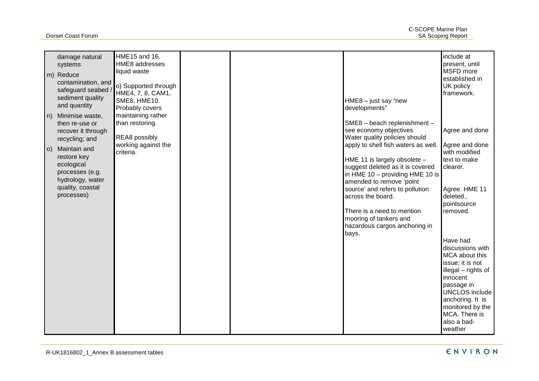|      | damage natural<br>systems<br>m) Reduce<br>contamination, and<br>safeguard seabed<br>sediment quality                                 | HME15 and 16.<br>HME8 addresses<br>liquid waste<br>o) Supported through<br>HME4, 7, 8, CAM1,<br>SME8, HME10. |  | $HME8 - just say "new$                                                                                                                                                                                                                                            | include at<br>present, until<br>MSFD more<br>established in<br>UK policy<br>framework.                                 |
|------|--------------------------------------------------------------------------------------------------------------------------------------|--------------------------------------------------------------------------------------------------------------|--|-------------------------------------------------------------------------------------------------------------------------------------------------------------------------------------------------------------------------------------------------------------------|------------------------------------------------------------------------------------------------------------------------|
|      | and quantity<br>n) Minimise waste,<br>then re-use or<br>recover it through                                                           | Probably covers<br>maintaining rather<br>than restoring.                                                     |  | developments"<br>SME8 - beach replenishment -<br>see economy objectives                                                                                                                                                                                           | Agree and done                                                                                                         |
| l O) | recycling; and<br>Maintain and<br>restore key<br>ecological<br>processes (e.g.<br>hydrology, water<br>quality, coastal<br>processes) | <b>REA8</b> possibly<br>working against the<br>criteria.                                                     |  | Water quality policies should<br>apply to shell fish waters as well.<br>HME 11 is largely obsolete -<br>suggest deleted as it is covered<br>in HME $10 -$ providing HME 10 is<br>amended to remove 'point<br>source' and refers to pollution<br>across the board. | Agree and done<br>with modified<br>text to make<br>clearer.<br>Agree. HME 11<br>deleted.,                              |
|      |                                                                                                                                      |                                                                                                              |  | There is a need to mention<br>mooring of tankers and<br>hazardous cargos anchoring in<br>bays.                                                                                                                                                                    | pointsource<br>removed.                                                                                                |
|      |                                                                                                                                      |                                                                                                              |  |                                                                                                                                                                                                                                                                   | Have had<br>discussions with<br>MCA about this<br>issue; it is not<br>illegal - rights of<br>innocent                  |
|      |                                                                                                                                      |                                                                                                              |  |                                                                                                                                                                                                                                                                   | passage in<br><b>UNCLOS</b> include<br>anchoring. It is<br>monitored by the<br>MCA. There is<br>also a bad-<br>weather |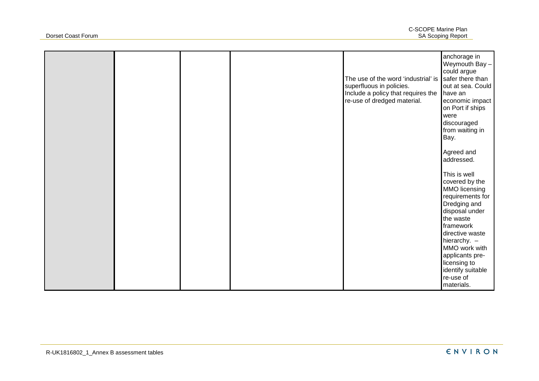|  |  | The use of the word 'industrial' is<br>superfluous in policies.<br>Include a policy that requires the<br>re-use of dredged material. | anchorage in<br>Weymouth Bay -<br>could argue<br>safer there than<br>out at sea. Could<br>have an<br>economic impact<br>on Port if ships<br>were<br>discouraged<br>from waiting in<br>Bay.<br>Agreed and<br>addressed.<br>This is well<br>covered by the<br>MMO licensing<br>requirements for<br>Dredging and<br>disposal under<br>the waste<br>framework<br>directive waste<br>hierarchy. $-$<br>MMO work with<br>applicants pre-<br>licensing to |
|--|--|--------------------------------------------------------------------------------------------------------------------------------------|----------------------------------------------------------------------------------------------------------------------------------------------------------------------------------------------------------------------------------------------------------------------------------------------------------------------------------------------------------------------------------------------------------------------------------------------------|
|  |  |                                                                                                                                      | identify suitable<br>re-use of<br>materials.                                                                                                                                                                                                                                                                                                                                                                                                       |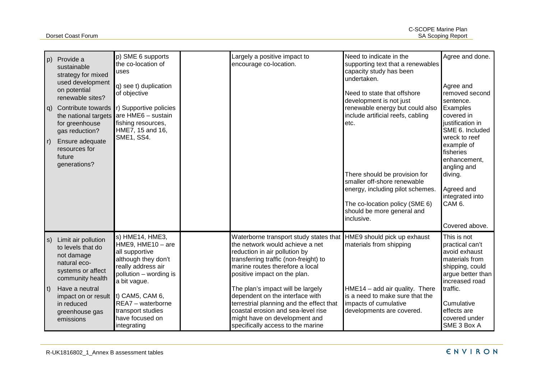| p)<br>$\vert$ r)                 | Provide a<br>sustainable<br>strategy for mixed<br>used development<br>on potential<br>renewable sites?<br>q) Contribute towards<br>the national targets<br>for greenhouse<br>gas reduction?<br>Ensure adequate<br>resources for<br>future<br>generations? | p) SME 6 supports<br>the co-location of<br>uses<br>q) see t) duplication<br>of objective<br>r) Supportive policies<br>are HME6 - sustain<br>fishing resources,<br>HME7, 15 and 16,<br><b>SME1, SS4.</b>                                          | Largely a positive impact to<br>encourage co-location.                                                                                                                                                                                                                                                                                                                                                                                                                             | Need to indicate in the<br>supporting text that a renewables<br>capacity study has been<br>undertaken.<br>Need to state that offshore<br>development is not just<br>renewable energy but could also<br>include artificial reefs, cabling<br>etc.<br>There should be provision for<br>smaller off-shore renewable<br>energy, including pilot schemes.<br>The co-location policy (SME 6)<br>should be more general and<br>inclusive. | Agree and done.<br>Agree and<br>removed second<br>sentence.<br>Examples<br>covered in<br>justification in<br>SME 6. Included<br>wreck to reef<br>example of<br>fisheries<br>enhancement.<br>angling and<br>diving.<br>Agreed and<br>integrated into<br>CAM <sub>6</sub> .<br>Covered above. |
|----------------------------------|-----------------------------------------------------------------------------------------------------------------------------------------------------------------------------------------------------------------------------------------------------------|--------------------------------------------------------------------------------------------------------------------------------------------------------------------------------------------------------------------------------------------------|------------------------------------------------------------------------------------------------------------------------------------------------------------------------------------------------------------------------------------------------------------------------------------------------------------------------------------------------------------------------------------------------------------------------------------------------------------------------------------|------------------------------------------------------------------------------------------------------------------------------------------------------------------------------------------------------------------------------------------------------------------------------------------------------------------------------------------------------------------------------------------------------------------------------------|---------------------------------------------------------------------------------------------------------------------------------------------------------------------------------------------------------------------------------------------------------------------------------------------|
| $ s\rangle$<br>$\vert t \rangle$ | Limit air pollution<br>to levels that do<br>not damage<br>natural eco-<br>systems or affect<br>community health<br>Have a neutral<br>impact on or result<br>in reduced<br>greenhouse gas<br>emissions                                                     | s) HME14, HME3,<br>HME9, $HME10 - are$<br>all supportive<br>although they don't<br>really address air<br>pollution - wording is<br>a bit vague.<br>$t)$ CAM5, CAM 6,<br>REA7 - waterborne<br>transport studies<br>have focused on<br>integrating | Waterborne transport study states that HME9 should pick up exhaust<br>the network would achieve a net<br>reduction in air pollution by<br>transferring traffic (non-freight) to<br>marine routes therefore a local<br>positive impact on the plan.<br>The plan's impact will be largely<br>dependent on the interface with<br>terrestrial planning and the effect that<br>coastal erosion and sea-level rise<br>might have on development and<br>specifically access to the marine | materials from shipping<br>HME14 - add air quality. There<br>is a need to make sure that the<br>impacts of cumulative<br>developments are covered.                                                                                                                                                                                                                                                                                 | This is not<br>practical can't<br>avoid exhaust<br>materials from<br>shipping, could<br>argue better than<br>increased road<br>traffic.<br>Cumulative<br>effects are<br>covered under<br>SME 3 Box A                                                                                        |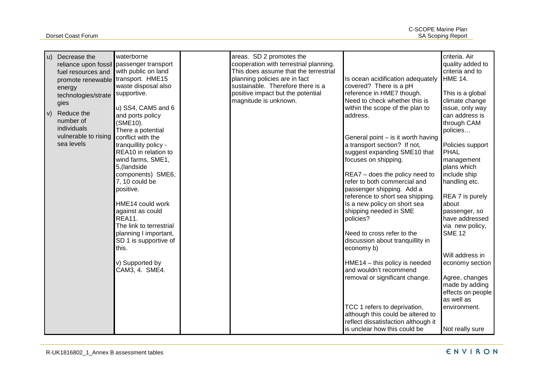Dorset Coast Forum

|              | u) Decrease the<br>fuel resources and<br>promote renewable transport. HME15<br>energy<br>technologies/strate<br>gies | waterborne<br>reliance upon fossil passenger transport<br>with public on land<br>waste disposal also<br>supportive.<br>u) SS4, CAM5 and 6                                                                        | areas. SD 2 promotes the<br>cooperation with terrestrial planning.<br>This does assume that the terrestrial<br>planning policies are in fact<br>sustainable. Therefore there is a<br>positive impact but the potential<br>magnitude is unknown. | Is ocean acidification adequately<br>covered? There is a pH<br>reference in HME7 though.<br>Need to check whether this is<br>within the scope of the plan to                                                                            | criteria. Air<br>quality added to<br>criteria and to<br><b>HME 14.</b><br>This is a global<br>climate change<br>issue, only way            |
|--------------|----------------------------------------------------------------------------------------------------------------------|------------------------------------------------------------------------------------------------------------------------------------------------------------------------------------------------------------------|-------------------------------------------------------------------------------------------------------------------------------------------------------------------------------------------------------------------------------------------------|-----------------------------------------------------------------------------------------------------------------------------------------------------------------------------------------------------------------------------------------|--------------------------------------------------------------------------------------------------------------------------------------------|
| $\mathsf{v}$ | Reduce the<br>number of<br>individuals<br>vulnerable to rising<br>sea levels                                         | and ports policy<br>(SME10).<br>There a potential<br>conflict with the<br>tranquillity policy -<br>REA10 in relation to<br>wind farms, SME1,<br>5, (landside<br>components) SME6,<br>7, 10 could be<br>positive. |                                                                                                                                                                                                                                                 | address.<br>General point - is it worth having<br>a transport section? If not,<br>suggest expanding SME10 that<br>focuses on shipping.<br>REA7 - does the policy need to<br>refer to both commercial and<br>passenger shipping. Add a   | can address is<br>through CAM<br>policies<br>Policies support<br><b>PHAL</b><br>management<br>plans which<br>include ship<br>handling etc. |
|              |                                                                                                                      | HME14 could work<br>against as could<br><b>REA11.</b><br>The link to terrestrial<br>planning I important,<br>SD 1 is supportive of<br>this.                                                                      |                                                                                                                                                                                                                                                 | reference to short sea shipping.<br>Is a new policy on short sea<br>shipping needed in SME<br>policies?<br>Need to cross refer to the<br>discussion about tranquillity in<br>economy b)                                                 | REA 7 is purely<br>about<br>passenger, so<br>have addressed<br>via new policy,<br><b>SME 12</b><br>Will address in                         |
|              |                                                                                                                      | v) Supported by<br>CAM3, 4. SME4.                                                                                                                                                                                |                                                                                                                                                                                                                                                 | $HME14 - this policy is needed$<br>and wouldn't recommend<br>removal or significant change.<br>TCC 1 refers to deprivation,<br>although this could be altered to<br>reflect dissatisfaction although it<br>is unclear how this could be | economy section<br>Agree, changes<br>made by adding<br>effects on people<br>as well as<br>environment.<br>Not really sure                  |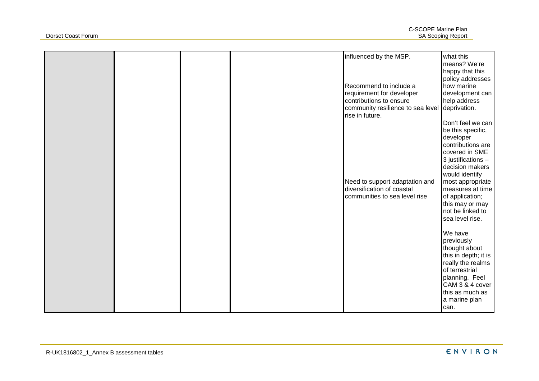|  |  | influenced by the MSP.                                            | what this                            |
|--|--|-------------------------------------------------------------------|--------------------------------------|
|  |  |                                                                   | means? We're                         |
|  |  |                                                                   | happy that this                      |
|  |  | Recommend to include a                                            | policy addresses<br>how marine       |
|  |  | requirement for developer                                         | development can                      |
|  |  | contributions to ensure                                           | help address                         |
|  |  | community resilience to sea level deprivation.<br>rise in future. |                                      |
|  |  |                                                                   | Don't feel we can                    |
|  |  |                                                                   | be this specific,                    |
|  |  |                                                                   | developer<br>contributions are       |
|  |  |                                                                   | covered in SME                       |
|  |  |                                                                   | 3 justifications -                   |
|  |  |                                                                   | decision makers                      |
|  |  |                                                                   | would identify                       |
|  |  | Need to support adaptation and<br>diversification of coastal      | most appropriate<br>measures at time |
|  |  | communities to sea level rise                                     | of application;                      |
|  |  |                                                                   | this may or may                      |
|  |  |                                                                   | not be linked to                     |
|  |  |                                                                   | sea level rise.                      |
|  |  |                                                                   | We have                              |
|  |  |                                                                   | previously                           |
|  |  |                                                                   | thought about                        |
|  |  |                                                                   | this in depth; it is                 |
|  |  |                                                                   | really the realms<br>of terrestrial  |
|  |  |                                                                   | planning. Feel                       |
|  |  |                                                                   | CAM 3 & 4 cover                      |
|  |  |                                                                   | this as much as                      |
|  |  |                                                                   | a marine plan                        |
|  |  |                                                                   | can.                                 |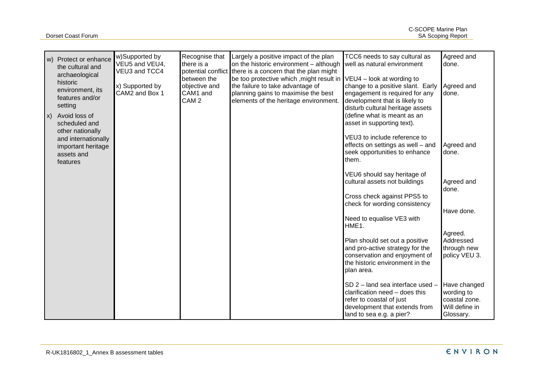|                   | w) Protect or enhance<br>the cultural and<br>archaeological<br>historic<br>environment, its<br>features and/or<br>setting | w)Supported by<br>VEU5 and VEU4,<br>VEU3 and TCC4<br>x) Supported by<br>CAM2 and Box 1 | Recognise that<br>there is a<br>between the<br>objective and<br>CAM1 and<br>CAM <sub>2</sub> | Largely a positive impact of the plan<br>on the historic environment - although<br>potential conflict there is a concern that the plan might<br>be too protective which , might result in $VEU4$ – look at wording to<br>the failure to take advantage of<br>planning gains to maximise the best<br>elements of the heritage environment. | TCC6 needs to say cultural as<br>well as natural environment<br>change to a positive slant. Early<br>engagement is required for any<br>development that is likely to<br>disturb cultural heritage assets | Agreed and<br>done.<br>Agreed and<br>done.                                 |
|-------------------|---------------------------------------------------------------------------------------------------------------------------|----------------------------------------------------------------------------------------|----------------------------------------------------------------------------------------------|-------------------------------------------------------------------------------------------------------------------------------------------------------------------------------------------------------------------------------------------------------------------------------------------------------------------------------------------|----------------------------------------------------------------------------------------------------------------------------------------------------------------------------------------------------------|----------------------------------------------------------------------------|
| $\vert x \rangle$ | Avoid loss of<br>scheduled and<br>other nationally<br>and internationally<br>important heritage<br>assets and<br>features |                                                                                        |                                                                                              |                                                                                                                                                                                                                                                                                                                                           | (define what is meant as an<br>asset in supporting text).<br>VEU3 to include reference to<br>effects on settings as well - and<br>seek opportunities to enhance<br>them.                                 | Agreed and<br>done.                                                        |
|                   |                                                                                                                           |                                                                                        |                                                                                              |                                                                                                                                                                                                                                                                                                                                           | VEU6 should say heritage of<br>cultural assets not buildings<br>Cross check against PPS5 to<br>check for wording consistency<br>Need to equalise VE3 with<br>HME1.                                       | Agreed and<br>done.<br>Have done.<br>Agreed.                               |
|                   |                                                                                                                           |                                                                                        |                                                                                              |                                                                                                                                                                                                                                                                                                                                           | Plan should set out a positive<br>and pro-active strategy for the<br>conservation and enjoyment of<br>the historic environment in the<br>plan area.                                                      | Addressed<br>through new<br>policy VEU 3.                                  |
|                   |                                                                                                                           |                                                                                        |                                                                                              |                                                                                                                                                                                                                                                                                                                                           | SD 2 - land sea interface used -<br>clarification need - does this<br>refer to coastal of just<br>development that extends from<br>land to sea e.g. a pier?                                              | Have changed<br>wording to<br>coastal zone.<br>Will define in<br>Glossary. |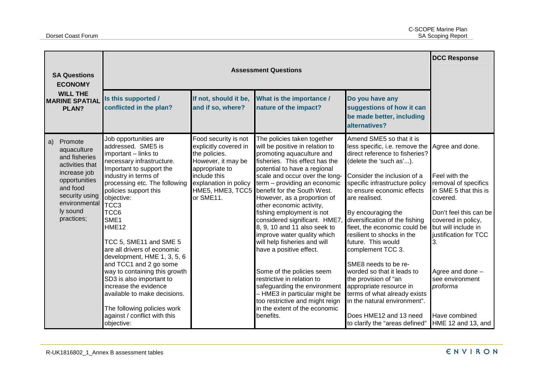|                                                          | <b>SA Questions</b><br><b>ECONOMY</b>                                                                                                                                |                                                                                                                                                                                                                                                                                                                                                                                                                                                                                               |                                                                                                                                                              | <b>Assessment Questions</b>                                                                                                                                                                                                                                                                                                                                                                                                                                                                                                                                                                                                   |                                                                                                                                                                                                                                                                                                                                                                                                                                                                                                                   | <b>DCC Response</b>                                                                                                                                                                                                                                    |
|----------------------------------------------------------|----------------------------------------------------------------------------------------------------------------------------------------------------------------------|-----------------------------------------------------------------------------------------------------------------------------------------------------------------------------------------------------------------------------------------------------------------------------------------------------------------------------------------------------------------------------------------------------------------------------------------------------------------------------------------------|--------------------------------------------------------------------------------------------------------------------------------------------------------------|-------------------------------------------------------------------------------------------------------------------------------------------------------------------------------------------------------------------------------------------------------------------------------------------------------------------------------------------------------------------------------------------------------------------------------------------------------------------------------------------------------------------------------------------------------------------------------------------------------------------------------|-------------------------------------------------------------------------------------------------------------------------------------------------------------------------------------------------------------------------------------------------------------------------------------------------------------------------------------------------------------------------------------------------------------------------------------------------------------------------------------------------------------------|--------------------------------------------------------------------------------------------------------------------------------------------------------------------------------------------------------------------------------------------------------|
| <b>WILL THE</b><br><b>MARINE SPATIAL</b><br><b>PLAN?</b> |                                                                                                                                                                      | Is this supported /<br>conflicted in the plan?                                                                                                                                                                                                                                                                                                                                                                                                                                                | If not, should it be,<br>and if so, where?                                                                                                                   | What is the importance /<br>nature of the impact?                                                                                                                                                                                                                                                                                                                                                                                                                                                                                                                                                                             | Do you have any<br>suggestions of how it can<br>be made better, including<br>alternatives?                                                                                                                                                                                                                                                                                                                                                                                                                        |                                                                                                                                                                                                                                                        |
| a)                                                       | Promote<br>aquaculture<br>and fisheries<br>activities that<br>increase job<br>opportunities<br>and food<br>security using<br>environmental<br>ly sound<br>practices; | Job opportunities are<br>addressed. SME5 is<br>important - links to<br>necessary infrastructure.<br>Important to support the<br>industry in terms of<br>processing etc. The following<br>policies support this<br>objective:<br>TCC <sub>3</sub><br>TCC6<br>SME1<br>HME <sub>12</sub><br>TCC 5, SME11 and SME 5<br>are all drivers of economic<br>development, HME 1, 3, 5, 6<br>and TCC1 and 2 go some<br>way to containing this growth<br>SD3 is also important to<br>increase the evidence | Food security is not<br>explicitly covered in<br>the policies.<br>However, it may be<br>appropriate to<br>include this<br>explanation in policy<br>or SME11. | The policies taken together<br>will be positive in relation to<br>promoting aquaculture and<br>fisheries. This effect has the<br>potential to have a regional<br>scale and occur over the long-<br>term - providing an economic<br>HME5, HME3, TCC5 benefit for the South West.<br>However, as a proportion of<br>other economic activity,<br>fishing employment is not<br>considered significant. HME7,<br>8, 9, 10 and 11 also seek to<br>improve water quality which<br>will help fisheries and will<br>have a positive effect.<br>Some of the policies seem<br>restrictive in relation to<br>safeguarding the environment | Amend SME5 so that it is<br>less specific, i.e. remove the<br>direct reference to fisheries?<br>(delete the 'such as').<br>Consider the inclusion of a<br>specific infrastructure policy<br>to ensure economic effects<br>are realised.<br>By encouraging the<br>diversification of the fishing<br>fleet, the economic could be<br>resilient to shocks in the<br>future. This would<br>complement TCC 3.<br>SME8 needs to be re-<br>worded so that it leads to<br>the provision of "an<br>appropriate resource in | Agree and done.<br>Feel with the<br>removal of specifics<br>in SME 5 that this is<br>covered.<br>Don't feel this can be<br>covered in policy,<br>but will include in<br>justification for TCC<br>3.<br>Agree and done -<br>see environment<br>proforma |
|                                                          |                                                                                                                                                                      | available to make decisions.<br>The following policies work<br>against / conflict with this<br>objective:                                                                                                                                                                                                                                                                                                                                                                                     |                                                                                                                                                              | - HME3 in particular might be<br>too restrictive and might reign<br>in the extent of the economic<br>benefits.                                                                                                                                                                                                                                                                                                                                                                                                                                                                                                                | terms of what already exists<br>in the natural environment".<br>Does HME12 and 13 need<br>to clarify the "areas defined"                                                                                                                                                                                                                                                                                                                                                                                          | Have combined<br>HME 12 and 13, and                                                                                                                                                                                                                    |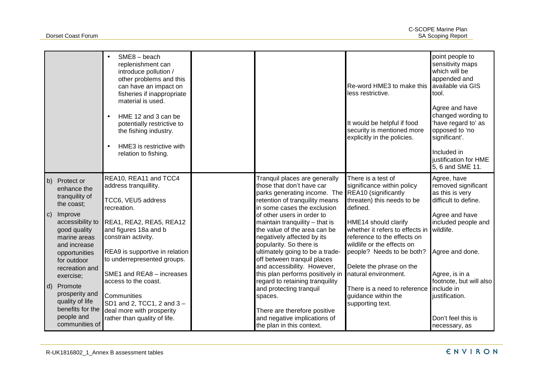|                    |                                                                                                                                                                                                                                                                                              | $SME8 - beach$<br>replenishment can<br>introduce pollution /<br>other problems and this<br>can have an impact on<br>fisheries if inappropriate<br>material is used.<br>HME 12 and 3 can be<br>potentially restrictive to<br>the fishing industry.<br>HME3 is restrictive with<br>relation to fishing.                                                                                          |                                                                                                                                                                                                                                                                                                                                                                                                                                                                                                                                                                                                                           | Re-word HME3 to make this<br>less restrictive.<br>It would be helpful if food<br>security is mentioned more<br>explicitly in the policies.                                                                                                                                                                                                                                     | point people to<br>sensitivity maps<br>which will be<br>appended and<br>available via GIS<br>tool.<br>Agree and have<br>changed wording to<br>'have regard to' as<br>opposed to 'no<br>significant'.<br>Included in<br>justification for HME<br>5, 6 and SME 11. |
|--------------------|----------------------------------------------------------------------------------------------------------------------------------------------------------------------------------------------------------------------------------------------------------------------------------------------|------------------------------------------------------------------------------------------------------------------------------------------------------------------------------------------------------------------------------------------------------------------------------------------------------------------------------------------------------------------------------------------------|---------------------------------------------------------------------------------------------------------------------------------------------------------------------------------------------------------------------------------------------------------------------------------------------------------------------------------------------------------------------------------------------------------------------------------------------------------------------------------------------------------------------------------------------------------------------------------------------------------------------------|--------------------------------------------------------------------------------------------------------------------------------------------------------------------------------------------------------------------------------------------------------------------------------------------------------------------------------------------------------------------------------|------------------------------------------------------------------------------------------------------------------------------------------------------------------------------------------------------------------------------------------------------------------|
| b)<br>$\mathbf{C}$ | Protect or<br>enhance the<br>tranquility of<br>the coast;<br>Improve<br>accessibility to<br>good quality<br>marine areas<br>and increase<br>opportunities<br>for outdoor<br>recreation and<br>exercise;<br>d) Promote<br>prosperity and<br>quality of life<br>benefits for the<br>people and | REA10, REA11 and TCC4<br>address tranquillity.<br>TCC6, VEU5 address<br>recreation.<br>REA1, REA2, REA5, REA12<br>and figures 18a and b<br>constrain activity.<br>REA9 is supportive in relation<br>to underrepresented groups.<br>SME1 and REA8 - increases<br>access to the coast.<br>Communities<br>SD1 and 2, TCC1, 2 and 3 -<br>deal more with prosperity<br>rather than quality of life. | Tranquil places are generally<br>those that don't have car<br>parks generating income. The REA10 (significantly<br>retention of tranquility means<br>in some cases the exclusion<br>of other users in order to<br>maintain tranquility $-$ that is<br>the value of the area can be<br>negatively affected by its<br>popularity. So there is<br>ultimately going to be a trade-<br>off between tranquil places<br>and accessibility. However,<br>this plan performs positively in<br>regard to retaining tranquility<br>and protecting tranquil<br>spaces.<br>There are therefore positive<br>and negative implications of | There is a test of<br>significance within policy<br>threaten) this needs to be<br>defined.<br>HME14 should clarify<br>whether it refers to effects in<br>reference to the effects on<br>wildlife or the effects on<br>people? Needs to be both?<br>Delete the phrase on the<br>natural environment.<br>There is a need to reference<br>guidance within the<br>supporting text. | Agree, have<br>removed significant<br>as this is very<br>difficult to define.<br>Agree and have<br>included people and<br>wildlife.<br>Agree and done.<br>Agree, is in a<br>footnote, but will also<br>include in<br>justification.<br>Don't feel this is        |
|                    | communities of                                                                                                                                                                                                                                                                               |                                                                                                                                                                                                                                                                                                                                                                                                | the plan in this context.                                                                                                                                                                                                                                                                                                                                                                                                                                                                                                                                                                                                 |                                                                                                                                                                                                                                                                                                                                                                                | necessary, as                                                                                                                                                                                                                                                    |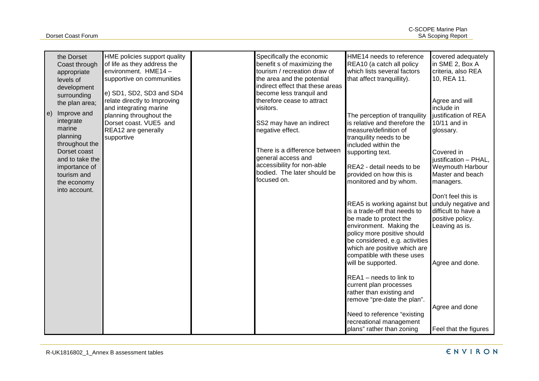|                   | the Dorset<br>Coast through<br>appropriate<br>levels of                                                           | HME policies support quality<br>of life as they address the<br>environment. HME14-<br>supportive on communities                                                              | Specifically the economic<br>benefit s of maximizing the<br>tourism / recreation draw of<br>the area and the potential                                  | HME14 needs to reference<br>REA10 (a catch all policy<br>which lists several factors<br>that affect tranquillity).                              | covered adequately<br>in SME 2, Box A<br>criteria, also REA<br>10, REA 11.                             |
|-------------------|-------------------------------------------------------------------------------------------------------------------|------------------------------------------------------------------------------------------------------------------------------------------------------------------------------|---------------------------------------------------------------------------------------------------------------------------------------------------------|-------------------------------------------------------------------------------------------------------------------------------------------------|--------------------------------------------------------------------------------------------------------|
| $\vert e \rangle$ | development<br>surrounding<br>the plan area;<br>Improve and<br>integrate<br>marine<br>planning                    | e) SD1, SD2, SD3 and SD4<br>relate directly to Improving<br>and integrating marine<br>planning throughout the<br>Dorset coast. VUE5 and<br>REA12 are generally<br>supportive | indirect effect that these areas<br>become less tranquil and<br>therefore cease to attract<br>visitors.<br>SS2 may have an indirect<br>negative effect. | The perception of tranquility<br>is relative and therefore the<br>measure/definition of<br>tranquility needs to be                              | Agree and will<br>include in<br>justification of REA<br>10/11 and in<br>glossary.                      |
|                   | throughout the<br>Dorset coast<br>and to take the<br>importance of<br>tourism and<br>the economy<br>into account. |                                                                                                                                                                              | There is a difference between<br>general access and<br>accessibility for non-able<br>bodied. The later should be<br>focused on.                         | included within the<br>supporting text.<br>REA2 - detail needs to be<br>provided on how this is<br>monitored and by whom.                       | Covered in<br>justification - PHAL,<br>Weymouth Harbour<br>Master and beach<br>managers.               |
|                   |                                                                                                                   |                                                                                                                                                                              |                                                                                                                                                         | REA5 is working against but<br>is a trade-off that needs to<br>be made to protect the<br>environment. Making the<br>policy more positive should | Don't feel this is<br>unduly negative and<br>difficult to have a<br>positive policy.<br>Leaving as is. |
|                   |                                                                                                                   |                                                                                                                                                                              |                                                                                                                                                         | be considered, e.g. activities<br>which are positive which are<br>compatible with these uses<br>will be supported.<br>REA1 - needs to link to   | Agree and done.                                                                                        |
|                   |                                                                                                                   |                                                                                                                                                                              |                                                                                                                                                         | current plan processes<br>rather than existing and<br>remove "pre-date the plan".                                                               | Agree and done                                                                                         |
|                   |                                                                                                                   |                                                                                                                                                                              |                                                                                                                                                         | Need to reference "existing<br>recreational management<br>plans" rather than zoning                                                             | Feel that the figures                                                                                  |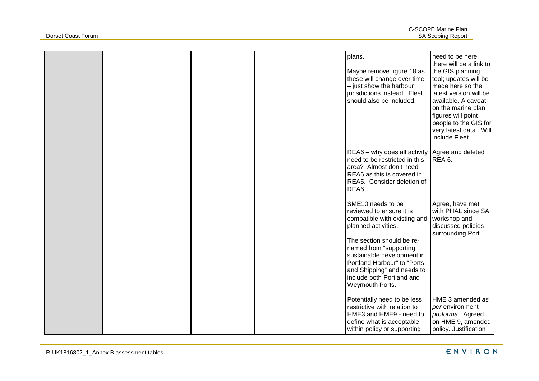|  |  | plans.<br>Maybe remove figure 18 as<br>these will change over time<br>- just show the harbour<br>jurisdictions instead. Fleet<br>should also be included.                                                                                                                                              | need to be here,<br>there will be a link to<br>the GIS planning<br>tool; updates will be<br>made here so the<br>latest version will be<br>available. A caveat<br>on the marine plan<br>figures will point<br>people to the GIS for<br>very latest data. Will<br>include Fleet. |
|--|--|--------------------------------------------------------------------------------------------------------------------------------------------------------------------------------------------------------------------------------------------------------------------------------------------------------|--------------------------------------------------------------------------------------------------------------------------------------------------------------------------------------------------------------------------------------------------------------------------------|
|  |  | REA6 - why does all activity Agree and deleted<br>need to be restricted in this<br>area? Almost don't need<br>REA6 as this is covered in<br>REA5. Consider deletion of<br>REA6.                                                                                                                        | REA 6.                                                                                                                                                                                                                                                                         |
|  |  | SME10 needs to be<br>reviewed to ensure it is<br>compatible with existing and<br>planned activities.<br>The section should be re-<br>named from "supporting<br>sustainable development in<br>Portland Harbour" to "Ports<br>and Shipping" and needs to<br>include both Portland and<br>Weymouth Ports. | Agree, have met<br>with PHAL since SA<br>workshop and<br>discussed policies<br>surrounding Port.                                                                                                                                                                               |
|  |  | Potentially need to be less<br>restrictive with relation to<br>HME3 and HME9 - need to<br>define what is acceptable<br>within policy or supporting                                                                                                                                                     | HME 3 amended as<br>per environment<br>proforma. Agreed<br>on HME 9, amended<br>policy. Justification                                                                                                                                                                          |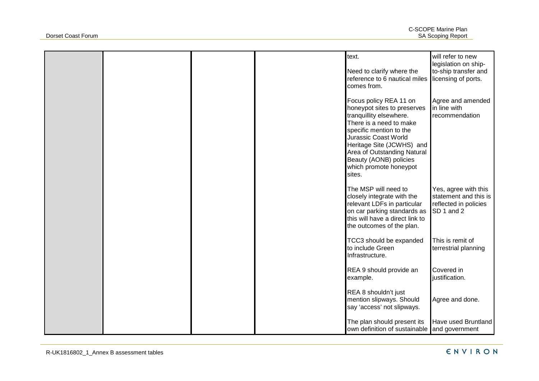|  |  | text.<br>Need to clarify where the<br>reference to 6 nautical miles<br>comes from.                                                                                                                                                                                                       | will refer to new<br>legislation on ship-<br>to-ship transfer and<br>licensing of ports. |
|--|--|------------------------------------------------------------------------------------------------------------------------------------------------------------------------------------------------------------------------------------------------------------------------------------------|------------------------------------------------------------------------------------------|
|  |  | Focus policy REA 11 on<br>honeypot sites to preserves<br>tranquillity elsewhere.<br>There is a need to make<br>specific mention to the<br>Jurassic Coast World<br>Heritage Site (JCWHS) and<br>Area of Outstanding Natural<br>Beauty (AONB) policies<br>which promote honeypot<br>sites. | Agree and amended<br>in line with<br>recommendation                                      |
|  |  | The MSP will need to<br>closely integrate with the<br>relevant LDFs in particular<br>on car parking standards as<br>this will have a direct link to<br>the outcomes of the plan.                                                                                                         | Yes, agree with this<br>statement and this is<br>reflected in policies<br>SD 1 and 2     |
|  |  | TCC3 should be expanded<br>to include Green<br>Infrastructure.                                                                                                                                                                                                                           | This is remit of<br>terrestrial planning                                                 |
|  |  | REA 9 should provide an<br>example.                                                                                                                                                                                                                                                      | Covered in<br>justification.                                                             |
|  |  | REA 8 shouldn't just<br>mention slipways. Should<br>say 'access' not slipways.                                                                                                                                                                                                           | Agree and done.                                                                          |
|  |  | The plan should present its<br>own definition of sustainable and government                                                                                                                                                                                                              | Have used Bruntland                                                                      |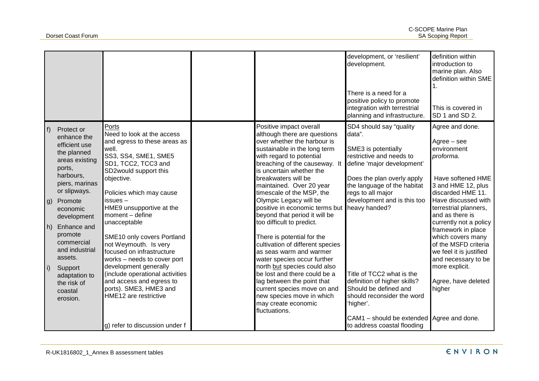|                                         |                                                                                                                                                                                                                                                                                                       |                                                                                                                                                                                                                                                                                                                                                                                                                                                                                                                                         |                                                                                                                                                                                                                                                                                                                                                                                                                                                                                                                                                                                                                                                                                                                 | development, or 'resilient'<br>development.<br>There is a need for a<br>positive policy to promote<br>integration with terrestrial<br>planning and infrastructure.                                                                                                                                                                                                       | definition within<br>introduction to<br>marine plan. Also<br>definition within SME<br>This is covered in<br>SD 1 and SD 2.                                                                                                                                                                                                                                                                        |
|-----------------------------------------|-------------------------------------------------------------------------------------------------------------------------------------------------------------------------------------------------------------------------------------------------------------------------------------------------------|-----------------------------------------------------------------------------------------------------------------------------------------------------------------------------------------------------------------------------------------------------------------------------------------------------------------------------------------------------------------------------------------------------------------------------------------------------------------------------------------------------------------------------------------|-----------------------------------------------------------------------------------------------------------------------------------------------------------------------------------------------------------------------------------------------------------------------------------------------------------------------------------------------------------------------------------------------------------------------------------------------------------------------------------------------------------------------------------------------------------------------------------------------------------------------------------------------------------------------------------------------------------------|--------------------------------------------------------------------------------------------------------------------------------------------------------------------------------------------------------------------------------------------------------------------------------------------------------------------------------------------------------------------------|---------------------------------------------------------------------------------------------------------------------------------------------------------------------------------------------------------------------------------------------------------------------------------------------------------------------------------------------------------------------------------------------------|
| f <br>  g)<br>$ h\rangle$<br>$\vert$ i) | Protect or<br>enhance the<br>efficient use<br>the planned<br>areas existing<br>ports,<br>harbours,<br>piers, marinas<br>or slipways.<br>Promote<br>economic<br>development<br>Enhance and<br>promote<br>commercial<br>and industrial<br>assets.<br>Support<br>adaptation to<br>the risk of<br>coastal | Ports<br>Need to look at the access<br>and egress to these areas as<br>well.<br>SS3, SS4, SME1, SME5<br>SD1, TCC2, TCC3 and<br>SD2would support this<br>objective.<br>Policies which may cause<br>issues -<br>HME9 unsupportive at the<br>moment - define<br>unacceptable<br>SME10 only covers Portland<br>not Weymouth. Is very<br>focused on infrastructure<br>works - needs to cover port<br>development generally<br>(include operational activities<br>and access and egress to<br>ports). SME3, HME3 and<br>HME12 are restrictive | Positive impact overall<br>although there are questions<br>over whether the harbour is<br>sustainable in the long term<br>with regard to potential<br>breaching of the causeway. It<br>is uncertain whether the<br>breakwaters will be<br>maintained. Over 20 year<br>timescale of the MSP, the<br>Olympic Legacy will be<br>positive in economic terms but<br>beyond that period it will be<br>too difficult to predict.<br>There is potential for the<br>cultivation of different species<br>as seas warm and warmer<br>water species occur further<br>north but species could also<br>be lost and there could be a<br>lag between the point that<br>current species move on and<br>new species move in which | SD4 should say "quality<br>data".<br>SME3 is potentially<br>restrictive and needs to<br>define 'major development'<br>Does the plan overly apply<br>the language of the habitat<br>regs to all major<br>development and is this too<br>heavy handed?<br>Title of TCC2 what is the<br>definition of higher skills?<br>Should be defined and<br>should reconsider the word | Agree and done.<br>$Agree - see$<br>environment<br>proforma.<br>Have softened HME<br>3 and HME 12, plus<br>discarded HME 11.<br>Have discussed with<br>terrestrial planners,<br>and as there is<br>currently not a policy<br>framework in place<br>which covers many<br>of the MSFD criteria<br>we feel it is justified<br>and necessary to be<br>more explicit.<br>Agree, have deleted<br>higher |
|                                         | erosion.                                                                                                                                                                                                                                                                                              | g) refer to discussion under f                                                                                                                                                                                                                                                                                                                                                                                                                                                                                                          | may create economic<br>fluctuations.                                                                                                                                                                                                                                                                                                                                                                                                                                                                                                                                                                                                                                                                            | 'higher'.<br>CAM1 - should be extended Agree and done.<br>to address coastal flooding                                                                                                                                                                                                                                                                                    |                                                                                                                                                                                                                                                                                                                                                                                                   |